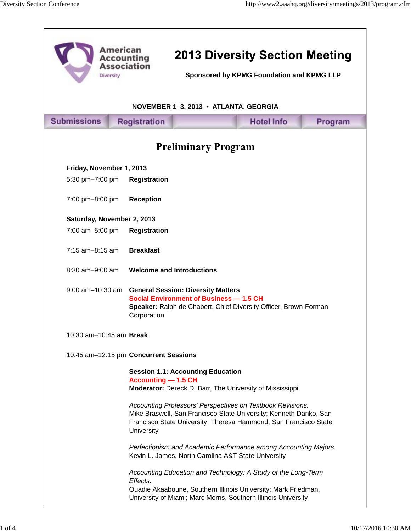٦

| <b>American</b><br><b>Accounting</b><br><b>Association</b><br>Diversity |                                                                                                                                                                                | <b>2013 Diversity Section Meeting</b><br>Sponsored by KPMG Foundation and KPMG LLP |                                                                                                                                                                                                     |         |  |
|-------------------------------------------------------------------------|--------------------------------------------------------------------------------------------------------------------------------------------------------------------------------|------------------------------------------------------------------------------------|-----------------------------------------------------------------------------------------------------------------------------------------------------------------------------------------------------|---------|--|
| NOVEMBER 1-3, 2013 • ATLANTA, GEORGIA                                   |                                                                                                                                                                                |                                                                                    |                                                                                                                                                                                                     |         |  |
| <b>Submissions</b>                                                      | <b>Registration</b>                                                                                                                                                            |                                                                                    | <b>Hotel Info</b>                                                                                                                                                                                   | Program |  |
| <b>Preliminary Program</b>                                              |                                                                                                                                                                                |                                                                                    |                                                                                                                                                                                                     |         |  |
| Friday, November 1, 2013                                                |                                                                                                                                                                                |                                                                                    |                                                                                                                                                                                                     |         |  |
| 5:30 pm-7:00 pm                                                         | <b>Registration</b>                                                                                                                                                            |                                                                                    |                                                                                                                                                                                                     |         |  |
| 7:00 pm-8:00 pm                                                         | <b>Reception</b>                                                                                                                                                               |                                                                                    |                                                                                                                                                                                                     |         |  |
| Saturday, November 2, 2013                                              |                                                                                                                                                                                |                                                                                    |                                                                                                                                                                                                     |         |  |
| 7:00 am-5:00 pm                                                         | <b>Registration</b>                                                                                                                                                            |                                                                                    |                                                                                                                                                                                                     |         |  |
| 7:15 am-8:15 am                                                         | <b>Breakfast</b>                                                                                                                                                               |                                                                                    |                                                                                                                                                                                                     |         |  |
| 8:30 am-9:00 am                                                         | <b>Welcome and Introductions</b>                                                                                                                                               |                                                                                    |                                                                                                                                                                                                     |         |  |
| $9:00$ am $-10:30$ am                                                   | <b>General Session: Diversity Matters</b><br><b>Social Environment of Business - 1.5 CH</b><br>Speaker: Ralph de Chabert, Chief Diversity Officer, Brown-Forman<br>Corporation |                                                                                    |                                                                                                                                                                                                     |         |  |
| 10:30 am-10:45 am Break                                                 |                                                                                                                                                                                |                                                                                    |                                                                                                                                                                                                     |         |  |
|                                                                         | 10:45 am-12:15 pm Concurrent Sessions                                                                                                                                          |                                                                                    |                                                                                                                                                                                                     |         |  |
|                                                                         | <b>Session 1.1: Accounting Education</b><br><b>Accounting - 1.5 CH</b><br>Moderator: Dereck D. Barr, The University of Mississippi                                             |                                                                                    |                                                                                                                                                                                                     |         |  |
|                                                                         | University                                                                                                                                                                     |                                                                                    | Accounting Professors' Perspectives on Textbook Revisions.<br>Mike Braswell, San Francisco State University; Kenneth Danko, San<br>Francisco State University; Theresa Hammond, San Francisco State |         |  |
|                                                                         | Kevin L. James, North Carolina A&T State University                                                                                                                            |                                                                                    | Perfectionism and Academic Performance among Accounting Majors.                                                                                                                                     |         |  |
|                                                                         | Effects.                                                                                                                                                                       |                                                                                    | Accounting Education and Technology: A Study of the Long-Term<br>Ouadie Akaaboune, Southern Illinois University; Mark Friedman,<br>University of Miami; Marc Morris, Southern Illinois University   |         |  |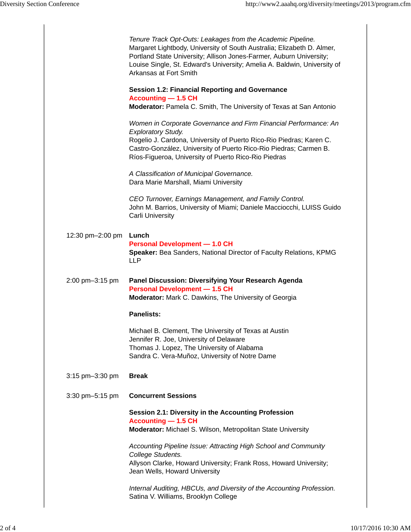|                  | Tenure Track Opt-Outs: Leakages from the Academic Pipeline.<br>Margaret Lightbody, University of South Australia; Elizabeth D. Almer,<br>Portland State University; Allison Jones-Farmer, Auburn University;<br>Louise Single, St. Edward's University; Amelia A. Baldwin, University of<br>Arkansas at Fort Smith |
|------------------|--------------------------------------------------------------------------------------------------------------------------------------------------------------------------------------------------------------------------------------------------------------------------------------------------------------------|
|                  | <b>Session 1.2: Financial Reporting and Governance</b><br><b>Accounting - 1.5 CH</b><br>Moderator: Pamela C. Smith, The University of Texas at San Antonio                                                                                                                                                         |
|                  | Women in Corporate Governance and Firm Financial Performance: An<br><b>Exploratory Study.</b><br>Rogelio J. Cardona, University of Puerto Rico-Rio Piedras; Karen C.<br>Castro-González, University of Puerto Rico-Rio Piedras; Carmen B.<br>Ríos-Figueroa, University of Puerto Rico-Rio Piedras                  |
|                  | A Classification of Municipal Governance.<br>Dara Marie Marshall, Miami University                                                                                                                                                                                                                                 |
|                  | CEO Turnover, Earnings Management, and Family Control.<br>John M. Barrios, University of Miami; Daniele Macciocchi, LUISS Guido<br>Carli University                                                                                                                                                                |
| 12:30 pm-2:00 pm | Lunch<br><b>Personal Development - 1.0 CH</b><br>Speaker: Bea Sanders, National Director of Faculty Relations, KPMG<br><b>LLP</b>                                                                                                                                                                                  |
| 2:00 pm-3:15 pm  | Panel Discussion: Diversifying Your Research Agenda                                                                                                                                                                                                                                                                |
|                  | <b>Personal Development - 1.5 CH</b><br>Moderator: Mark C. Dawkins, The University of Georgia                                                                                                                                                                                                                      |
|                  | <b>Panelists:</b>                                                                                                                                                                                                                                                                                                  |
|                  | Michael B. Clement, The University of Texas at Austin<br>Jennifer R. Joe, University of Delaware<br>Thomas J. Lopez, The University of Alabama<br>Sandra C. Vera-Muñoz, University of Notre Dame                                                                                                                   |
| 3:15 pm-3:30 pm  | <b>Break</b>                                                                                                                                                                                                                                                                                                       |
| 3:30 pm-5:15 pm  | <b>Concurrent Sessions</b>                                                                                                                                                                                                                                                                                         |
|                  | Session 2.1: Diversity in the Accounting Profession<br><b>Accounting - 1.5 CH</b><br>Moderator: Michael S. Wilson, Metropolitan State University                                                                                                                                                                   |
|                  | Accounting Pipeline Issue: Attracting High School and Community<br>College Students.<br>Allyson Clarke, Howard University; Frank Ross, Howard University;<br>Jean Wells, Howard University                                                                                                                         |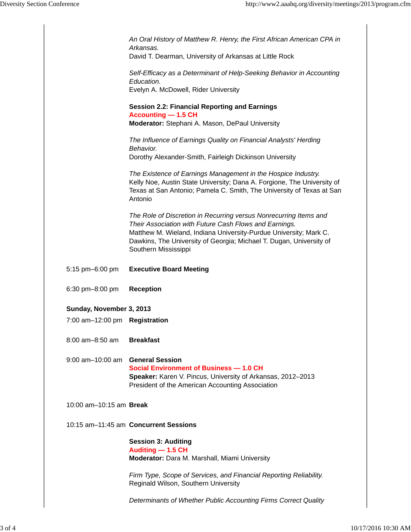|                               | An Oral History of Matthew R. Henry, the First African American CPA in<br>Arkansas.                                                                                                                                                                                                             |
|-------------------------------|-------------------------------------------------------------------------------------------------------------------------------------------------------------------------------------------------------------------------------------------------------------------------------------------------|
|                               | David T. Dearman, University of Arkansas at Little Rock                                                                                                                                                                                                                                         |
|                               | Self-Efficacy as a Determinant of Help-Seeking Behavior in Accounting<br>Education.                                                                                                                                                                                                             |
|                               | Evelyn A. McDowell, Rider University                                                                                                                                                                                                                                                            |
|                               | <b>Session 2.2: Financial Reporting and Earnings</b><br><b>Accounting - 1.5 CH</b>                                                                                                                                                                                                              |
|                               | Moderator: Stephani A. Mason, DePaul University                                                                                                                                                                                                                                                 |
|                               | The Influence of Earnings Quality on Financial Analysts' Herding<br>Behavior.<br>Dorothy Alexander-Smith, Fairleigh Dickinson University                                                                                                                                                        |
|                               |                                                                                                                                                                                                                                                                                                 |
|                               | The Existence of Earnings Management in the Hospice Industry.<br>Kelly Noe, Austin State University; Dana A. Forgione, The University of<br>Texas at San Antonio; Pamela C. Smith, The University of Texas at San<br>Antonio                                                                    |
|                               | The Role of Discretion in Recurring versus Nonrecurring Items and<br>Their Association with Future Cash Flows and Earnings.<br>Matthew M. Wieland, Indiana University-Purdue University; Mark C.<br>Dawkins, The University of Georgia; Michael T. Dugan, University of<br>Southern Mississippi |
| 5:15 pm-6:00 pm               | <b>Executive Board Meeting</b>                                                                                                                                                                                                                                                                  |
| 6:30 pm-8:00 pm               | <b>Reception</b>                                                                                                                                                                                                                                                                                |
| Sunday, November 3, 2013      |                                                                                                                                                                                                                                                                                                 |
| 7:00 am-12:00 pm Registration |                                                                                                                                                                                                                                                                                                 |
| 8:00 am-8:50 am               | <b>Breakfast</b>                                                                                                                                                                                                                                                                                |
| $9:00$ am $-10:00$ am         | <b>General Session</b><br><b>Social Environment of Business - 1.0 CH</b><br>Speaker: Karen V. Pincus, University of Arkansas, 2012-2013<br>President of the American Accounting Association                                                                                                     |
| 10:00 am-10:15 am Break       |                                                                                                                                                                                                                                                                                                 |
|                               | 10:15 am-11:45 am Concurrent Sessions                                                                                                                                                                                                                                                           |
|                               | <b>Session 3: Auditing</b><br>Auditing - 1.5 CH<br>Moderator: Dara M. Marshall, Miami University                                                                                                                                                                                                |
|                               | Firm Type, Scope of Services, and Financial Reporting Reliability.<br>Reginald Wilson, Southern University                                                                                                                                                                                      |
|                               | Determinants of Whether Public Accounting Firms Correct Quality                                                                                                                                                                                                                                 |